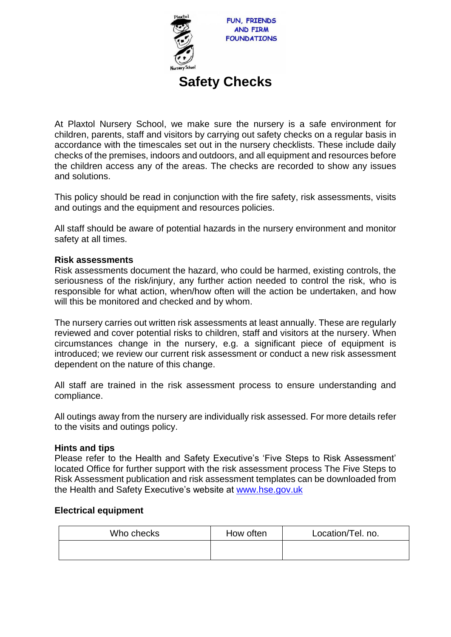

# **Safety Checks**

At Plaxtol Nursery School, we make sure the nursery is a safe environment for children, parents, staff and visitors by carrying out safety checks on a regular basis in accordance with the timescales set out in the nursery checklists. These include daily checks of the premises, indoors and outdoors, and all equipment and resources before the children access any of the areas. The checks are recorded to show any issues and solutions.

This policy should be read in conjunction with the fire safety, risk assessments, visits and outings and the equipment and resources policies.

All staff should be aware of potential hazards in the nursery environment and monitor safety at all times.

### **Risk assessments**

Risk assessments document the hazard, who could be harmed, existing controls, the seriousness of the risk/injury, any further action needed to control the risk, who is responsible for what action, when/how often will the action be undertaken, and how will this be monitored and checked and by whom.

The nursery carries out written risk assessments at least annually. These are regularly reviewed and cover potential risks to children, staff and visitors at the nursery. When circumstances change in the nursery, e.g. a significant piece of equipment is introduced; we review our current risk assessment or conduct a new risk assessment dependent on the nature of this change.

All staff are trained in the risk assessment process to ensure understanding and compliance.

All outings away from the nursery are individually risk assessed. For more details refer to the visits and outings policy.

## **Hints and tips**

Please refer to the Health and Safety Executive's 'Five Steps to Risk Assessment' located Office for further support with the risk assessment process The Five Steps to Risk Assessment publication and risk assessment templates can be downloaded from the Health and Safety Executive's website at [www.hse.gov.uk](http://www.hse.gov.uk/)

## **Electrical equipment**

| Who checks | How often | Location/Tel. no. |
|------------|-----------|-------------------|
|            |           |                   |